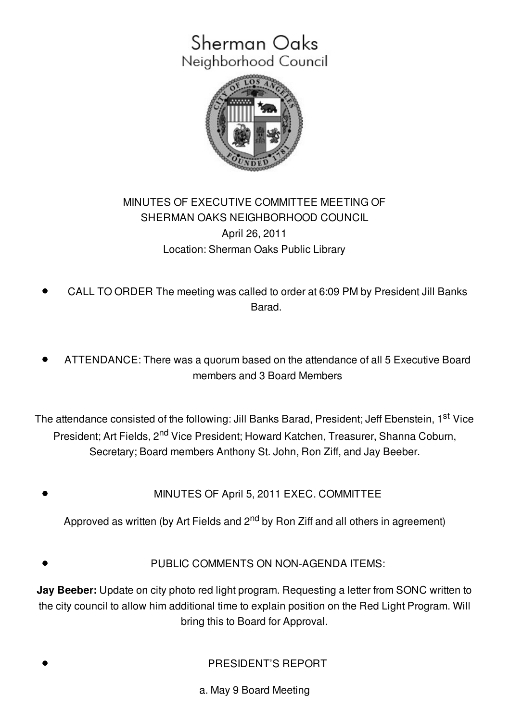# Sherman Oaks Neighborhood Council



## MINUTES OF EXECUTIVE COMMITTEE MEETING OF SHERMAN OAKS NEIGHBORHOOD COUNCIL April 26, 2011 Location: Sherman Oaks Public Library

- CALL TO ORDER The meeting was called to order at 6:09 PM by President Jill Banks **Barad**
- ATTENDANCE: There was a quorum based on the attendance of all 5 Executive Board members and 3 Board Members

The attendance consisted of the following: Jill Banks Barad, President; Jeff Ebenstein, 1<sup>st</sup> Vice President; Art Fields, 2<sup>nd</sup> Vice President; Howard Katchen, Treasurer, Shanna Coburn, Secretary; Board members Anthony St. John, Ron Ziff, and Jay Beeber.

MINUTES OF April 5, 2011 EXEC. COMMITTEE

Approved as written (by Art Fields and 2<sup>nd</sup> by Ron Ziff and all others in agreement)

PUBLIC COMMENTS ON NON-AGENDA ITEMS:

**Jay Beeber:** Update on city photo red light program. Requesting a letter from SONC written to the city council to allow him additional time to explain position on the Red Light Program. Will bring this to Board for Approval.

PRESIDENT'S REPORT

a. May 9 Board Meeting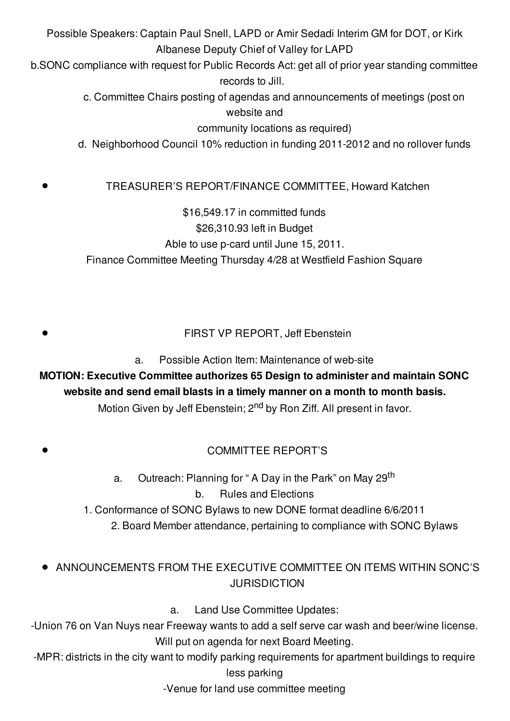Possible Speakers: Captain Paul Snell, LAPD or Amir Sedadi Interim GM for DOT, or Kirk Albanese Deputy Chief of Valley for LAPD

b.SONC compliance with request for Public Records Act: get all of prior year standing committee records to Jill.

> c. Committee Chairs posting of agendas and announcements of meetings (post on website and

> > community locations as required)

d. Neighborhood Council 10% reduction in funding 2011-2012 and no rollover funds

#### TREASURER'S REPORT/FINANCE COMMITTEE, Howard Katchen

\$16,549.17 in committed funds \$26,310.93 left in Budget Able to use p-card until June 15, 2011. Finance Committee Meeting Thursday 4/28 at Westfield Fashion Square

FIRST VP REPORT, Jeff Ebenstein

a. Possible Action Item: Maintenance of web-site

## **MOTION: Executive Committee authorizes 65 Design to administer and maintain SONC website and send email blasts in a timely manner on a month to month basis.**

Motion Given by Jeff Ebenstein; 2<sup>nd</sup> by Ron Ziff. All present in favor.

#### COMMITTEE REPORT'S

a. Outreach: Planning for " A Day in the Park" on May 29<sup>th</sup> b. Rules and Elections

1. Conformance of SONC Bylaws to new DONE format deadline 6/6/2011 2. Board Member attendance, pertaining to compliance with SONC Bylaws

### ANNOUNCEMENTS FROM THE EXECUTIVE COMMITTEE ON ITEMS WITHIN SONC'S **JURISDICTION**

a. Land Use Committee Updates:

-Union 76 on Van Nuys near Freeway wants to add a self serve car wash and beer/wine license. Will put on agenda for next Board Meeting.

-MPR: districts in the city want to modify parking requirements for apartment buildings to require less parking

-Venue for land use committee meeting